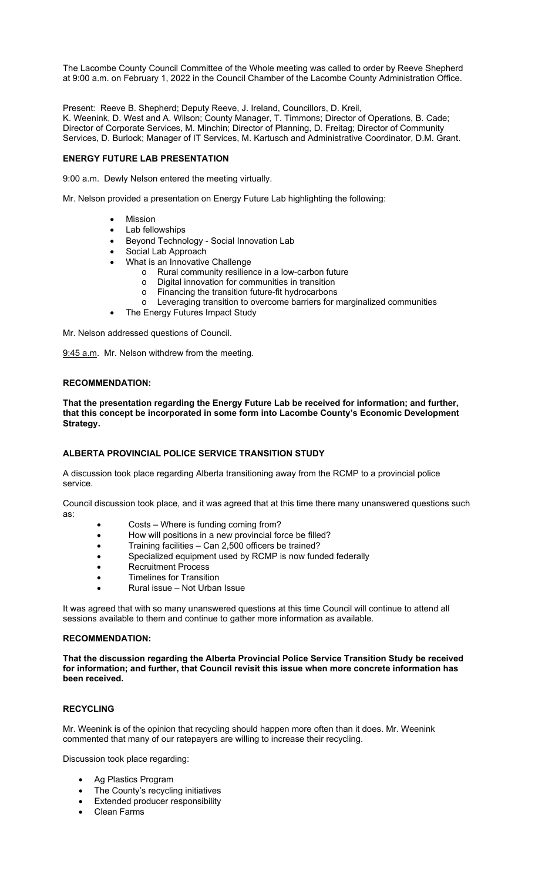The Lacombe County Council Committee of the Whole meeting was called to order by Reeve Shepherd at 9:00 a.m. on February 1, 2022 in the Council Chamber of the Lacombe County Administration Office.

Present: Reeve B. Shepherd; Deputy Reeve, J. Ireland, Councillors, D. Kreil, K. Weenink, D. West and A. Wilson; County Manager, T. Timmons; Director of Operations, B. Cade; Director of Corporate Services, M. Minchin; Director of Planning, D. Freitag; Director of Community Services, D. Burlock; Manager of IT Services, M. Kartusch and Administrative Coordinator, D.M. Grant.

### **ENERGY FUTURE LAB PRESENTATION**

9:00 a.m. Dewly Nelson entered the meeting virtually.

Mr. Nelson provided a presentation on Energy Future Lab highlighting the following:

- Mission
- Lab fellowships
- Beyond Technology Social Innovation Lab
- Social Lab Approach
- What is an Innovative Challenge
	- o Rural community resilience in a low-carbon future
	- o Digital innovation for communities in transition
	- o Financing the transition future-fit hydrocarbons
	- o Leveraging transition to overcome barriers for marginalized communities
- The Energy Futures Impact Study

Mr. Nelson addressed questions of Council.

9:45 a.m. Mr. Nelson withdrew from the meeting.

### **RECOMMENDATION:**

**That the presentation regarding the Energy Future Lab be received for information; and further, that this concept be incorporated in some form into Lacombe County's Economic Development Strategy.** 

# **ALBERTA PROVINCIAL POLICE SERVICE TRANSITION STUDY**

A discussion took place regarding Alberta transitioning away from the RCMP to a provincial police service.

Council discussion took place, and it was agreed that at this time there many unanswered questions such as:

- Costs Where is funding coming from?
- How will positions in a new provincial force be filled?
- Training facilities Can 2,500 officers be trained?
- Specialized equipment used by RCMP is now funded federally
- Recruitment Process
- Timelines for Transition
- Rural issue Not Urban Issue

It was agreed that with so many unanswered questions at this time Council will continue to attend all sessions available to them and continue to gather more information as available.

### **RECOMMENDATION:**

**That the discussion regarding the Alberta Provincial Police Service Transition Study be received for information; and further, that Council revisit this issue when more concrete information has been received.** 

# **RECYCLING**

Mr. Weenink is of the opinion that recycling should happen more often than it does. Mr. Weenink commented that many of our ratepayers are willing to increase their recycling.

Discussion took place regarding:

- Ag Plastics Program
- The County's recycling initiatives
- Extended producer responsibility
- Clean Farms